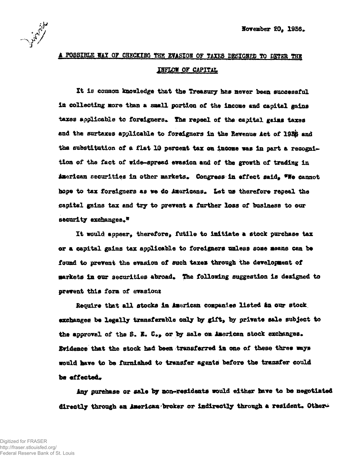1197

## A POSSIBLE WAY OF CHECKING THE EVASION OF TAXES DESIGBED TO DETER THE INFLOW OF CAPITAL

It is common knowledge that the Treasury has never been successful In collecting *more* than a snail portion of the incone and capital gains taxes applicable to foreigners. The repeal of the capital gains taxes and the surtaxes applicable to foreigners in the Revenue Act of 1956 and the substitution of a flat 10 percent tax on income was in part a recognition of the fact of wide-spread evasion and of the growth of trading in American securities in other markets. Congress in effect said,  $*W$  cannot hope to tax foreigners as we do Americans. Let us therefore repeal the capital gains tax and try to prevent a further loss of business to our security exchanges.\*

It would appear, therefore, futile to initiate a stock purchase tax or a capital gains tax applicable to foreigners unless sons means can be found to prevent the evasion of such taxes through the development of markets in our securities abroad. The following suggestion is designed to prevent this form of evasion:

Require that all stocks in American companies listed an our stock. exchanges be legally transferable only by gift, by private sale subject to the approval of the S. E.  $C_{**}$  or by sale on American stock exchanges. Evidence that the stock had been transferred in one of these three says would have to be furnished to transfer agents before the transfer could be effected.

Any purchase or sale by non-residents would either have to be negotiated directly through an American broker or indirectly through a resident. Other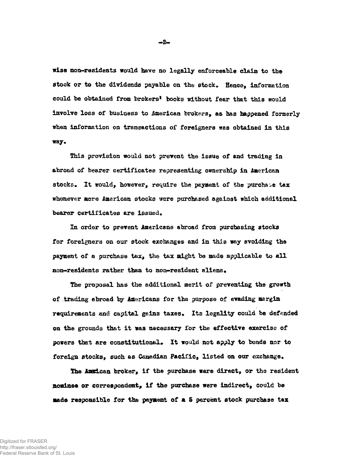wise non-residents would have no legally enforceable claim to the stock or to the dividends payable on the stock. Hence, information could be obtained from brokers' books without fear that this would involve loss of business to American brokers, as has happened formerly when information on transactions of foreigners was obtained in this ray\*

This provision would not prevent the issue of end tracing in abroad of bearer certificates representing ownership in American stocks. It would, however, require the payment of the purchase tax whenever more American stocks were purchased against which additional bearer certificates are issued.

In order to prevent Americans abroad from purchasing stocks for foreigners on our stock exchanges and in this way avoiding the payment of a purchase tax, the tax might be made applicable to all non-residents rather than to non-resident aliens.

The proposal has the additional merit of preventing the growth of trading abroad by Americans for the purpose of evading margin requirements and capital gains taxes. Its legality could be defended on the grounds that it was necessary for the effective exercise of powers that are constitutional. It would not apply to bonds nor to foreign stocks, such as Canadian Pacific, listed on our exchange.

The Ammican broker, if the purchase were direct, or the resident nominee or correspondent, if the purchase were indirect, could be made responsible for the payment of & S percent stock purchase tax